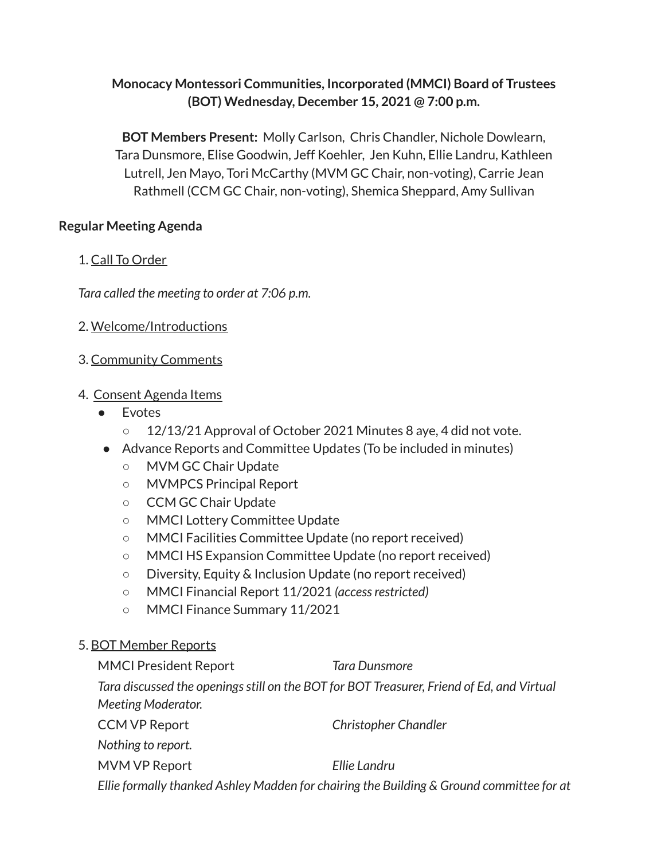# **Monocacy Montessori Communities, Incorporated (MMCI) Board of Trustees (BOT) Wednesday, December 15, 2021 @ 7:00 p.m.**

**BOT Members Present:** Molly Carlson, Chris Chandler, Nichole Dowlearn, Tara Dunsmore, Elise Goodwin, Jeff Koehler, Jen Kuhn, Ellie Landru, Kathleen Lutrell, Jen Mayo, Tori McCarthy (MVM GC Chair, non-voting), Carrie Jean Rathmell (CCM GC Chair, non-voting), Shemica Sheppard, Amy Sullivan

# **Regular Meeting Agenda**

# 1. Call To Order

*Tara called the meeting to order at 7:06 p.m.*

2. Welcome/Introductions

# 3. Community Comments

# 4. Consent Agenda Items

- **Evotes** 
	- 12/13/21 Approval of October 2021 Minutes 8 aye, 4 did not vote.
- Advance Reports and Committee Updates (To be included in minutes)
	- MVM GC Chair Update
	- MVMPCS Principal Report
	- CCM GC Chair Update
	- MMCI Lottery Committee Update
	- MMCI Facilities Committee Update (no report received)
	- MMCI HS Expansion Committee Update (no report received)
	- Diversity, Equity & Inclusion Update (no report received)
	- MMCI Financial Report 11/2021 *(accessrestricted)*
	- MMCI Finance Summary 11/2021

# 5. BOT Member Reports

| <b>MMCI President Report</b>                                                              | Tara Dunsmore               |  |  |  |  |  |
|-------------------------------------------------------------------------------------------|-----------------------------|--|--|--|--|--|
| Tara discussed the openings still on the BOT for BOT Treasurer, Friend of Ed, and Virtual |                             |  |  |  |  |  |
| Meeting Moderator.                                                                        |                             |  |  |  |  |  |
| <b>CCM VP Report</b>                                                                      | <b>Christopher Chandler</b> |  |  |  |  |  |
| Nothing to report.                                                                        |                             |  |  |  |  |  |
| MVM VP Report                                                                             | Ellie Landru                |  |  |  |  |  |
| Ellie formally thanked Ashley Madden for chairing the Building & Ground committee for at  |                             |  |  |  |  |  |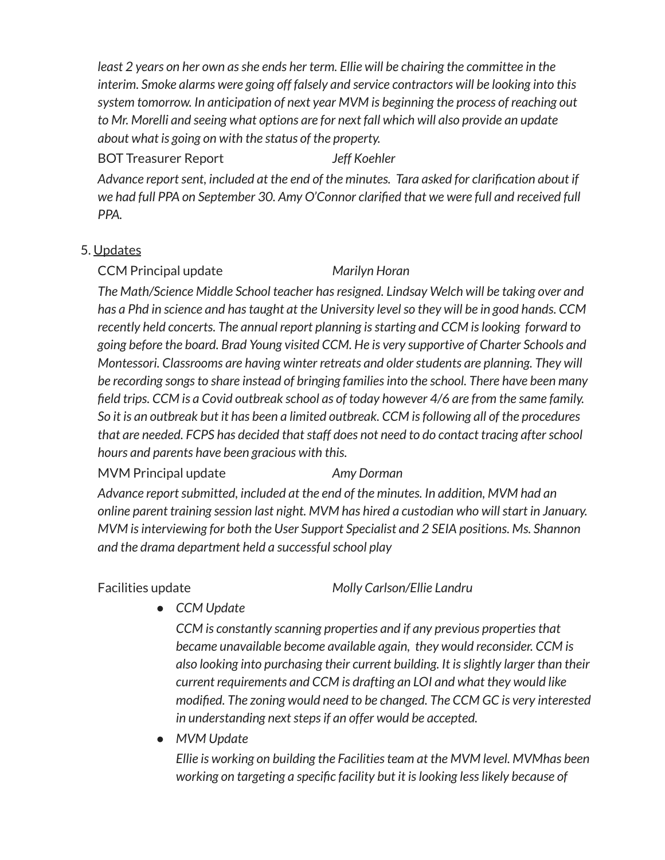*least 2 years on her own asshe ends her term. Ellie will be chairing the committee in the interim. Smoke alarms were going off falsely and service contractors will be looking into this system tomorrow. In anticipation of next year MVM is beginning the process of reaching out to Mr. Morelli and seeing what options are for next fall which will also provide an update about what is going on with the status of the property.*

# BOT Treasurer Report *Jeff Koehler*

*Advance reportsent, included at the end of the minutes. Tara asked for clarification about if we had full PPA on September 30. Amy O'Connor clarified that we were full and received full PPA.*

# 5. Updates

# CCM Principal update *Marilyn Horan*

*The Math/Science Middle School teacher hasresigned. Lindsay Welch will be taking over and has a Phd in science and hastaught at the University levelso they will be in good hands. CCM recently held concerts. The annual report planning isstarting and CCM islooking forward to going before the board. Brad Young visited CCM. He is very supportive of Charter Schools and Montessori. Classrooms are having winter retreats and olderstudents are planning. They will be recording songsto share instead of bringing familiesinto the school. There have been many field trips. CCM is a Covid outbreak school as of today however 4/6 are from the same family. So it is an outbreak but it has been a limited outbreak. CCM isfollowing all of the procedures that are needed. FCPS has decided thatstaff does not need to do contact tracing afterschool hours and parents have been gracious with this.*

# MVM Principal update *Amy Dorman*

*Advance reportsubmitted, included at the end of the minutes. In addition, MVM had an online parent training session last night. MVM has hired a custodian who willstart in January. MVM isinterviewing for both the User Support Specialist and 2 SEIA positions. Ms. Shannon and the drama department held a successfulschool play*

Facilities update *Molly Carlson/Ellie Landru*

*● CCM Update*

*CCM is constantly scanning properties and if any previous propertiesthat became unavailable become available again, they would reconsider. CCM is also looking into purchasing their current building. It isslightly larger than their current requirements and CCM is drafting an LOI and what they would like modified. The zoning would need to be changed. The CCM GC is very interested in understanding nextstepsif an offer would be accepted.*

*● MVM Update*

*Ellie is working on building the Facilitiesteam at the MVM level. MVMhas been working on targeting a specific facility but it islooking lesslikely because of*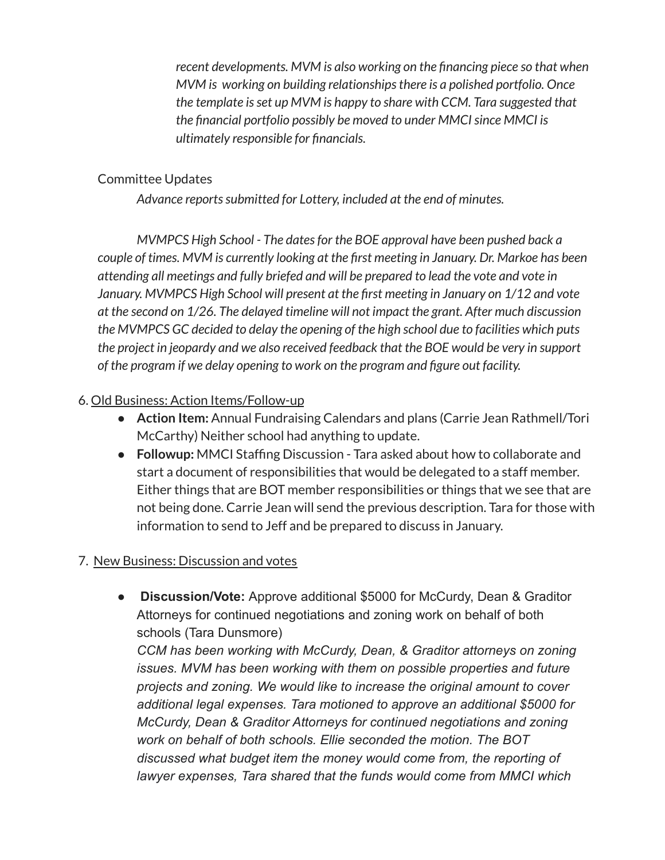*recent developments. MVM is also working on the financing piece so that when MVM is working on building relationshipsthere is a polished portfolio. Once the template isset up MVM is happy to share with CCM. Tara suggested that the financial portfolio possibly be moved to under MMCIsince MMCI is ultimately responsible for financials.*

# Committee Updates

*Advance reportssubmitted for Lottery, included at the end of minutes.*

*MVMPCS High School - The datesfor the BOE approval have been pushed back a couple of times. MVM is currently looking at the first meeting in January. Dr. Markoe has been attending all meetings and fully briefed and will be prepared to lead the vote and vote in January. MVMPCS High School will present at the first meeting in January on 1/12 and vote at the second on 1/26. The delayed timeline will not impact the grant. After much discussion the MVMPCS GC decided to delay the opening of the high school due to facilities which puts the project in jeopardy and we also received feedback that the BOE would be very in support of the program if we delay opening to work on the program and figure out facility.*

# 6. Old Business: Action Items/Follow-up

- **● Action Item:** Annual Fundraising Calendars and plans (Carrie Jean Rathmell/Tori McCarthy) Neither school had anything to update.
- **Followup:** MMCI Staffing Discussion Tara asked about how to collaborate and start a document of responsibilities that would be delegated to a staff member. Either things that are BOT member responsibilities or things that we see that are not being done. Carrie Jean will send the previous description. Tara for those with information to send to Jeff and be prepared to discuss in January.

# 7. New Business: Discussion and votes

*●* **Discussion/Vote:** Approve additional \$5000 for McCurdy, Dean & Graditor Attorneys for continued negotiations and zoning work on behalf of both schools (Tara Dunsmore)

*CCM has been working with McCurdy, Dean, & Graditor attorneys on zoning issues. MVM has been working with them on possible properties and future projects and zoning. We would like to increase the original amount to cover additional legal expenses. Tara motioned to approve an additional \$5000 for McCurdy, Dean & Graditor Attorneys for continued negotiations and zoning work on behalf of both schools. Ellie seconded the motion. The BOT discussed what budget item the money would come from, the reporting of lawyer expenses, Tara shared that the funds would come from MMCI which*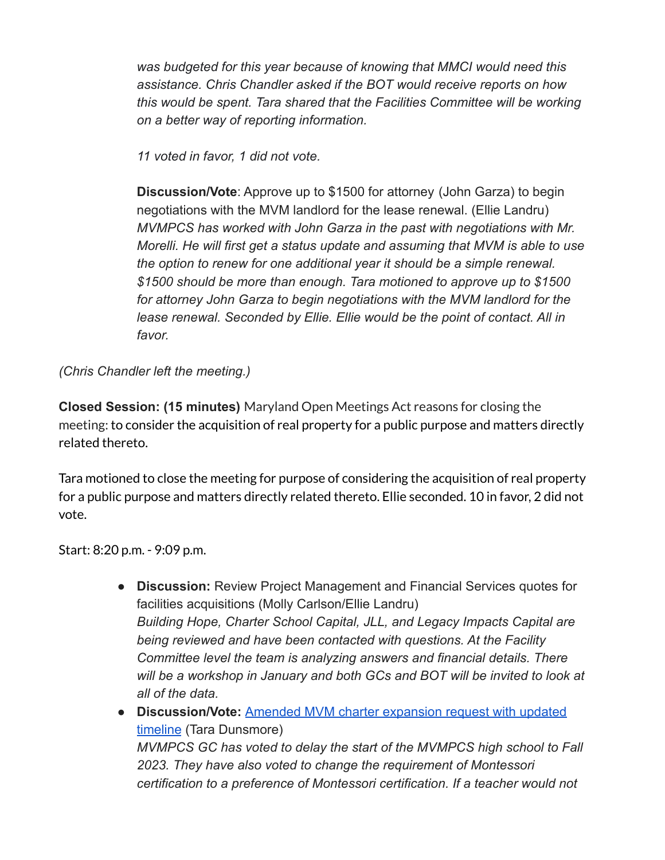*was budgeted for this year because of knowing that MMCI would need this assistance. Chris Chandler asked if the BOT would receive reports on how this would be spent. Tara shared that the Facilities Committee will be working on a better way of reporting information.*

*11 voted in favor, 1 did not vote.*

**Discussion/Vote**: Approve up to \$1500 for attorney (John Garza) to begin negotiations with the MVM landlord for the lease renewal. (Ellie Landru) *MVMPCS has worked with John Garza in the past with negotiations with Mr. Morelli. He will first get a status update and assuming that MVM is able to use the option to renew for one additional year it should be a simple renewal. \$1500 should be more than enough. Tara motioned to approve up to \$1500 for attorney John Garza to begin negotiations with the MVM landlord for the lease renewal. Seconded by Ellie. Ellie would be the point of contact. All in favor.*

*(Chris Chandler left the meeting.)*

**Closed Session: (15 minutes)** Maryland Open Meetings Act reasons for closing the meeting: to consider the acquisition of real property for a public purpose and matters directly related thereto.

Tara motioned to close the meeting for purpose of considering the acquisition of real property for a public purpose and matters directly related thereto. Ellie seconded. 10 in favor, 2 did not vote.

Start: 8:20 p.m. - 9:09 p.m.

- **Discussion:** Review Project Management and Financial Services quotes for facilities acquisitions (Molly Carlson/Ellie Landru) *Building Hope, Charter School Capital, JLL, and Legacy Impacts Capital are being reviewed and have been contacted with questions. At the Facility Committee level the team is analyzing answers and financial details. There will be a workshop in January and both GCs and BOT will be invited to look at all of the data.*
- **Discussion/Vote:** [Amended MVM charter expansion request](https://docs.google.com/document/u/0/d/1Ri90gERv9SRF6i7yDDwW7g5ZYWcN4fSV1gqG4hJItto/edit) with updated [timeline](https://docs.google.com/document/u/0/d/1Ri90gERv9SRF6i7yDDwW7g5ZYWcN4fSV1gqG4hJItto/edit) (Tara Dunsmore) *MVMPCS GC has voted to delay the start of the MVMPCS high school to Fall 2023. They have also voted to change the requirement of Montessori certification to a preference of Montessori certification. If a teacher would not*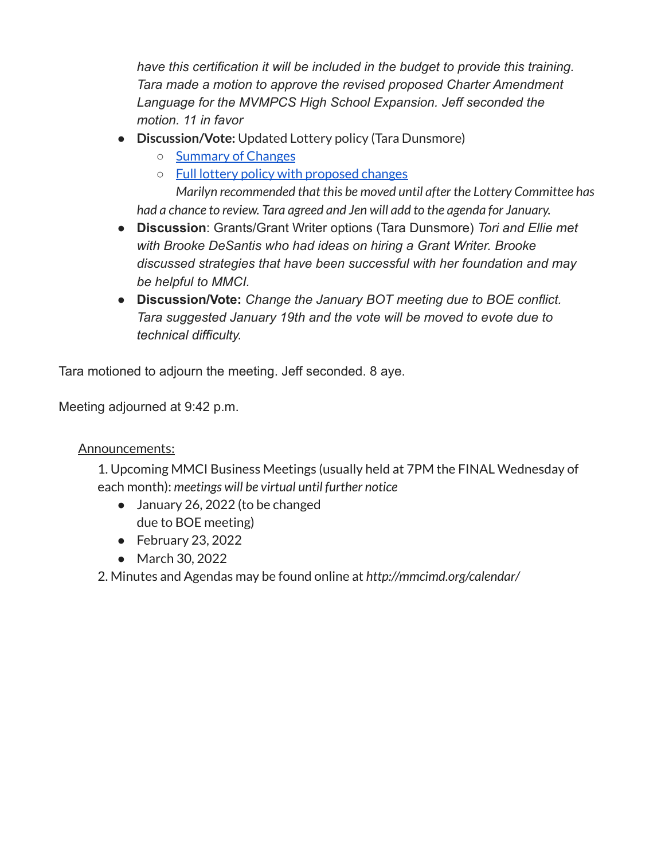*have this certification it will be included in the budget to provide this training. Tara made a motion to approve the revised proposed Charter Amendment Language for the MVMPCS High School Expansion. Jeff seconded the motion. 11 in favor*

- **● Discussion/Vote:** Updated Lottery policy (Tara Dunsmore)
	- [Summary](https://docs.google.com/document/d/1bZZ9ir3LSsmPEn1tg2qTM6j-SMMYvaE9FvkP-2GJGxk/edit?usp=sharing) of Changes
	- Full lottery policy with [proposed](https://docs.google.com/document/d/19RbWmfO87OxtErTXg6PXyHcvsiiuxvNdPHd7j0GFTgA/edit?usp=sharing) changes

*Marilyn recommended that this be moved until after the Lottery Committee has had a chance to review. Tara agreed and Jen will add to the agenda for January.*

- **Discussion**: Grants/Grant Writer options (Tara Dunsmore) *Tori and Ellie met with Brooke DeSantis who had ideas on hiring a Grant Writer. Brooke discussed strategies that have been successful with her foundation and may be helpful to MMCI.*
- **Discussion/Vote:** *Change the January BOT meeting due to BOE conflict. Tara suggested January 19th and the vote will be moved to evote due to technical difficulty.*

Tara motioned to adjourn the meeting. Jeff seconded. 8 aye.

Meeting adjourned at 9:42 p.m.

# Announcements:

1. Upcoming MMCI Business Meetings (usually held at 7PM the FINAL Wednesday of each month): *meetings will be virtual until further notice*

- January 26, 2022 (to be changed due to BOE meeting)
- February 23, 2022
- March 30, 2022

2. Minutes and Agendas may be found online at *http://mmcimd.org/calendar/*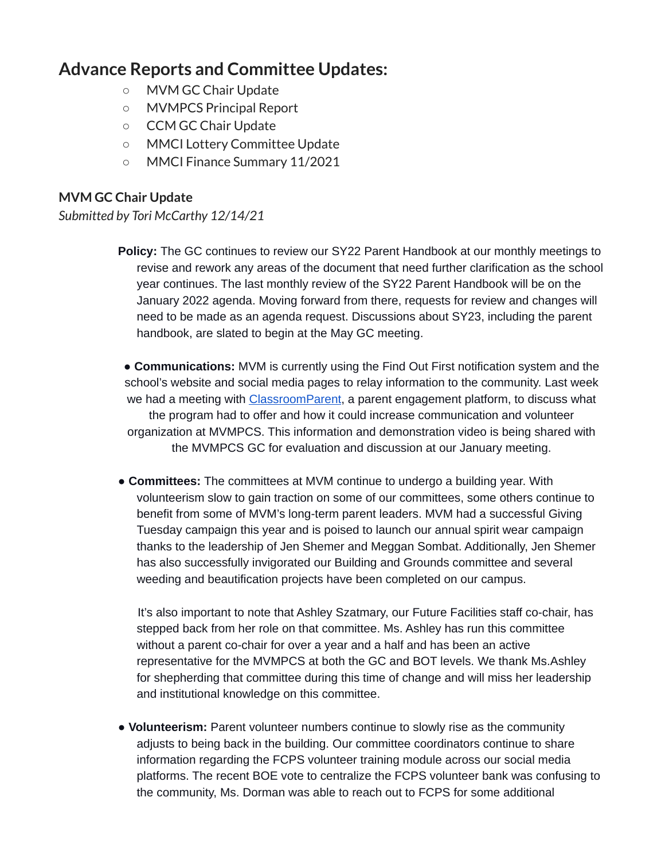# **Advance Reports and Committee Updates:**

- MVM GC Chair Update
- MVMPCS Principal Report
- CCM GC Chair Update
- MMCI Lottery Committee Update
- MMCI Finance Summary 11/2021

## **MVM GC Chair Update**

*Submitted by Tori McCarthy 12/14/21*

**Policy:** The GC continues to review our SY22 Parent Handbook at our monthly meetings to revise and rework any areas of the document that need further clarification as the school year continues. The last monthly review of the SY22 Parent Handbook will be on the January 2022 agenda. Moving forward from there, requests for review and changes will need to be made as an agenda request. Discussions about SY23, including the parent handbook, are slated to begin at the May GC meeting.

● **Communications:** MVM is currently using the Find Out First notification system and the school's website and social media pages to relay information to the community. Last week we had a meeting with *ClassroomParent*, a parent engagement platform, to discuss what the program had to offer and how it could increase communication and volunteer organization at MVMPCS. This information and demonstration video is being shared with the MVMPCS GC for evaluation and discussion at our January meeting.

● **Committees:** The committees at MVM continue to undergo a building year. With volunteerism slow to gain traction on some of our committees, some others continue to benefit from some of MVM's long-term parent leaders. MVM had a successful Giving Tuesday campaign this year and is poised to launch our annual spirit wear campaign thanks to the leadership of Jen Shemer and Meggan Sombat. Additionally, Jen Shemer has also successfully invigorated our Building and Grounds committee and several weeding and beautification projects have been completed on our campus.

It's also important to note that Ashley Szatmary, our Future Facilities staff co-chair, has stepped back from her role on that committee. Ms. Ashley has run this committee without a parent co-chair for over a year and a half and has been an active representative for the MVMPCS at both the GC and BOT levels. We thank Ms.Ashley for shepherding that committee during this time of change and will miss her leadership and institutional knowledge on this committee.

● **Volunteerism:** Parent volunteer numbers continue to slowly rise as the community adjusts to being back in the building. Our committee coordinators continue to share information regarding the FCPS volunteer training module across our social media platforms. The recent BOE vote to centralize the FCPS volunteer bank was confusing to the community, Ms. Dorman was able to reach out to FCPS for some additional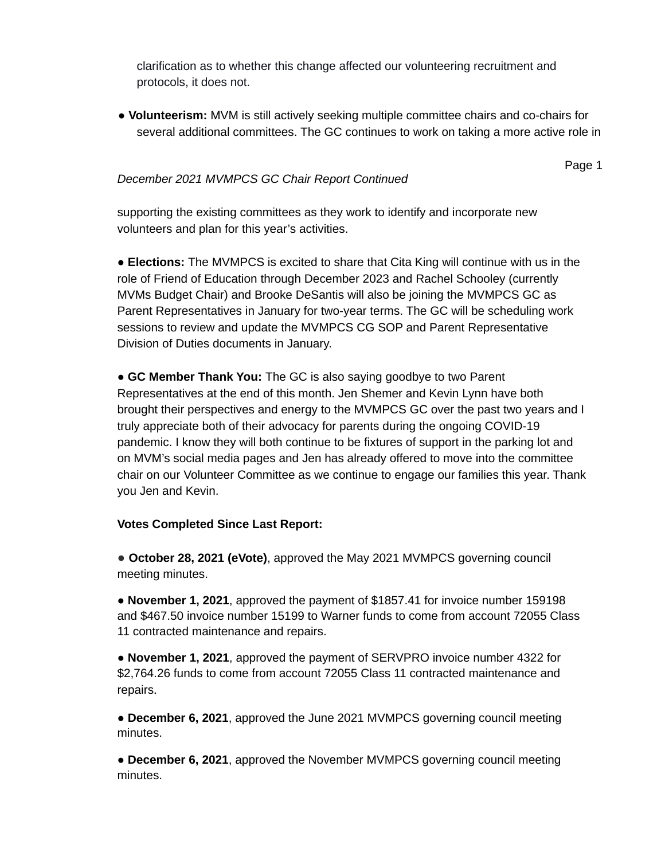clarification as to whether this change affected our volunteering recruitment and protocols, it does not.

● **Volunteerism:** MVM is still actively seeking multiple committee chairs and co-chairs for several additional committees. The GC continues to work on taking a more active role in

## *December 2021 MVMPCS GC Chair Report Continued*

Page 1

supporting the existing committees as they work to identify and incorporate new volunteers and plan for this year's activities.

● **Elections:** The MVMPCS is excited to share that Cita King will continue with us in the role of Friend of Education through December 2023 and Rachel Schooley (currently MVMs Budget Chair) and Brooke DeSantis will also be joining the MVMPCS GC as Parent Representatives in January for two-year terms. The GC will be scheduling work sessions to review and update the MVMPCS CG SOP and Parent Representative Division of Duties documents in January.

● **GC Member Thank You:** The GC is also saying goodbye to two Parent Representatives at the end of this month. Jen Shemer and Kevin Lynn have both brought their perspectives and energy to the MVMPCS GC over the past two years and I truly appreciate both of their advocacy for parents during the ongoing COVID-19 pandemic. I know they will both continue to be fixtures of support in the parking lot and on MVM's social media pages and Jen has already offered to move into the committee chair on our Volunteer Committee as we continue to engage our families this year. Thank you Jen and Kevin.

### **Votes Completed Since Last Report:**

● **October 28, 2021 (eVote)**, approved the May 2021 MVMPCS governing council meeting minutes.

● **November 1, 2021**, approved the payment of \$1857.41 for invoice number 159198 and \$467.50 invoice number 15199 to Warner funds to come from account 72055 Class 11 contracted maintenance and repairs.

● **November 1, 2021**, approved the payment of SERVPRO invoice number 4322 for \$2,764.26 funds to come from account 72055 Class 11 contracted maintenance and repairs.

● **December 6, 2021**, approved the June 2021 MVMPCS governing council meeting minutes.

● **December 6, 2021**, approved the November MVMPCS governing council meeting minutes.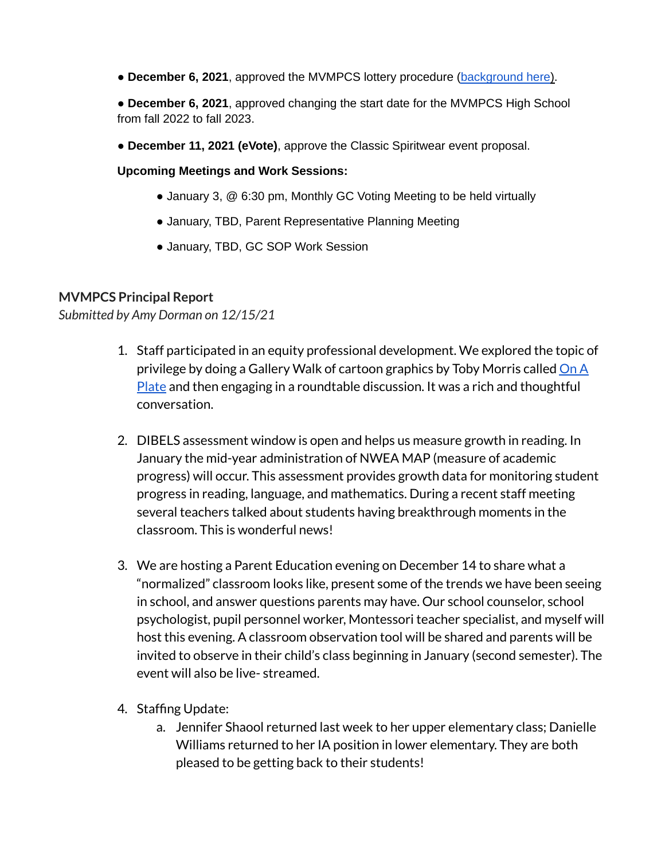- **December 6, 2021**, approved the MVMPCS lottery procedure (background here).
- **December 6, 2021**, approved changing the start date for the MVMPCS High School from fall 2022 to fall 2023.
- **December 11, 2021 (eVote)**, approve the Classic Spiritwear event proposal.

## **Upcoming Meetings and Work Sessions:**

- January 3, @ 6:30 pm, Monthly GC Voting Meeting to be held virtually
- January, TBD, Parent Representative Planning Meeting
- January, TBD, GC SOP Work Session

## **MVMPCS Principal Report**

## *Submitted by Amy Dorman on 12/15/21*

- 1. Staff participated in an equity professional development. We explored the topic of privilege by doing a Gallery Walk of cartoon graphics by Toby Morris called [On](https://www.upworthy.com/a-short-comic-gives-the-simplest-most-perfect-explanation-of-privilege-ive-ever-seen) A [Plate](https://www.upworthy.com/a-short-comic-gives-the-simplest-most-perfect-explanation-of-privilege-ive-ever-seen) and then engaging in a roundtable discussion. It was a rich and thoughtful conversation.
- 2. DIBELS assessment window is open and helps us measure growth in reading. In January the mid-year administration of NWEA MAP (measure of academic progress) will occur. This assessment provides growth data for monitoring student progress in reading, language, and mathematics. During a recent staff meeting several teachers talked about students having breakthrough moments in the classroom. This is wonderful news!
- 3. We are hosting a Parent Education evening on December 14 to share what a "normalized" classroom looks like, present some of the trends we have been seeing in school, and answer questions parents may have. Our school counselor, school psychologist, pupil personnel worker, Montessori teacher specialist, and myself will host this evening. A classroom observation tool will be shared and parents will be invited to observe in their child's class beginning in January (second semester). The event will also be live- streamed.
- 4. Staffing Update:
	- a. Jennifer Shaool returned last week to her upper elementary class; Danielle Williams returned to her IA position in lower elementary. They are both pleased to be getting back to their students!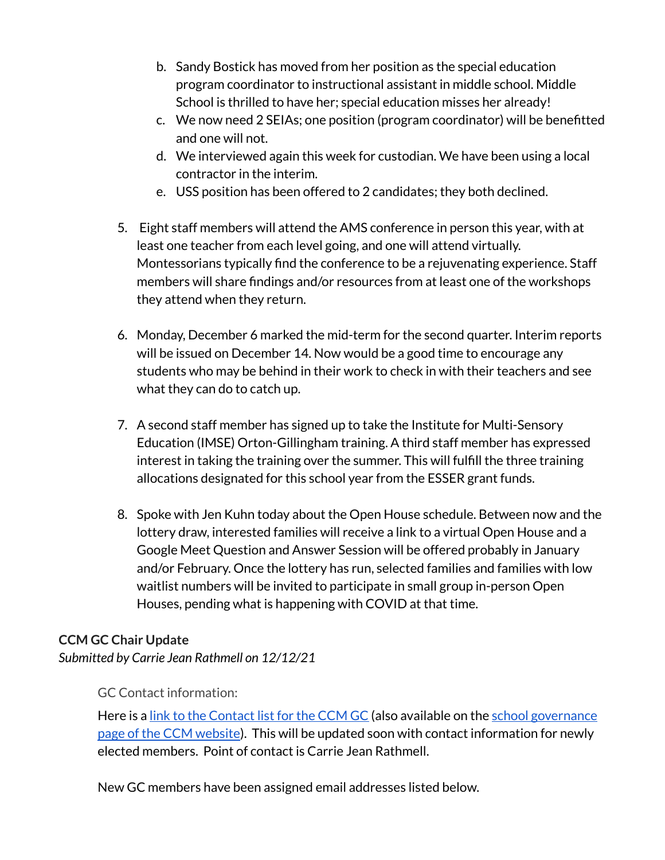- b. Sandy Bostick has moved from her position as the special education program coordinator to instructional assistant in middle school. Middle School is thrilled to have her; special education misses her already!
- c. We now need 2 SEIAs; one position (program coordinator) will be benefitted and one will not.
- d. We interviewed again this week for custodian. We have been using a local contractor in the interim.
- e. USS position has been offered to 2 candidates; they both declined.
- 5. Eight staff members will attend the AMS conference in person this year, with at least one teacher from each level going, and one will attend virtually. Montessorians typically find the conference to be a rejuvenating experience. Staff members will share findings and/or resources from at least one of the workshops they attend when they return.
- 6. Monday, December 6 marked the mid-term for the second quarter. Interim reports will be issued on December 14. Now would be a good time to encourage any students who may be behind in their work to check in with their teachers and see what they can do to catch up.
- 7. A second staff member has signed up to take the Institute for Multi-Sensory Education (IMSE) Orton-Gillingham training. A third staff member has expressed interest in taking the training over the summer. This will fulfill the three training allocations designated for this school year from the ESSER grant funds.
- 8. Spoke with Jen Kuhn today about the Open House schedule. Between now and the lottery draw, interested families will receive a link to a virtual Open House and a Google Meet Question and Answer Session will be offered probably in January and/or February. Once the lottery has run, selected families and families with low waitlist numbers will be invited to participate in small group in-person Open Houses, pending what is happening with COVID at that time.

# **CCM GC Chair Update**

*Submitted by Carrie Jean Rathmell on 12/12/21*

GC Contact information:

Here is a link to the [Contact](https://docs.google.com/document/d/1X4U97qPtK01kKWPQPWoUu1qk1aqTEwPrPfuwIIBozrg/edit) list for the CCM GC (also available on the school [governance](https://carrollcreekmontessori.org/school-info/governance/) page of the CCM [website](https://carrollcreekmontessori.org/school-info/governance/)). This will be updated soon with contact information for newly elected members. Point of contact is Carrie Jean Rathmell.

New GC members have been assigned email addresses listed below.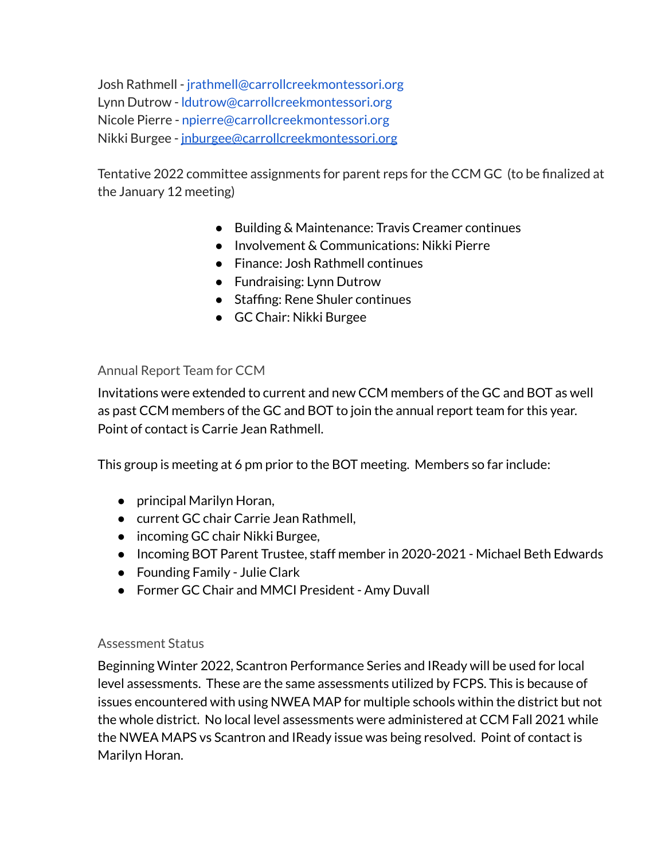Josh Rathmell - jrathmell@carrollcreekmontessori.org Lynn Dutrow - ldutrow@carrollcreekmontessori.org Nicole Pierre - npierre@carrollcreekmontessori.org Nikki Burgee - [jnburgee@carrollcreekmontessori.org](mailto:jnburgee@carrollcreekmontessori.org)

Tentative 2022 committee assignments for parent reps for the CCM GC (to be finalized at the January 12 meeting)

- Building & Maintenance: Travis Creamer continues
- Involvement & Communications: Nikki Pierre
- Finance: Josh Rathmell continues
- Fundraising: Lynn Dutrow
- Staffing: Rene Shuler continues
- GC Chair: Nikki Burgee

## Annual Report Team for CCM

Invitations were extended to current and new CCM members of the GC and BOT as well as past CCM members of the GC and BOT to join the annual report team for this year. Point of contact is Carrie Jean Rathmell.

This group is meeting at 6 pm prior to the BOT meeting. Members so far include:

- principal Marilyn Horan,
- current GC chair Carrie Jean Rathmell,
- incoming GC chair Nikki Burgee,
- Incoming BOT Parent Trustee, staff member in 2020-2021 Michael Beth Edwards
- Founding Family Julie Clark
- Former GC Chair and MMCI President Amy Duvall

## Assessment Status

Beginning Winter 2022, Scantron Performance Series and IReady will be used for local level assessments. These are the same assessments utilized by FCPS. This is because of issues encountered with using NWEA MAP for multiple schools within the district but not the whole district. No local level assessments were administered at CCM Fall 2021 while the NWEA MAPS vs Scantron and IReady issue was being resolved. Point of contact is Marilyn Horan.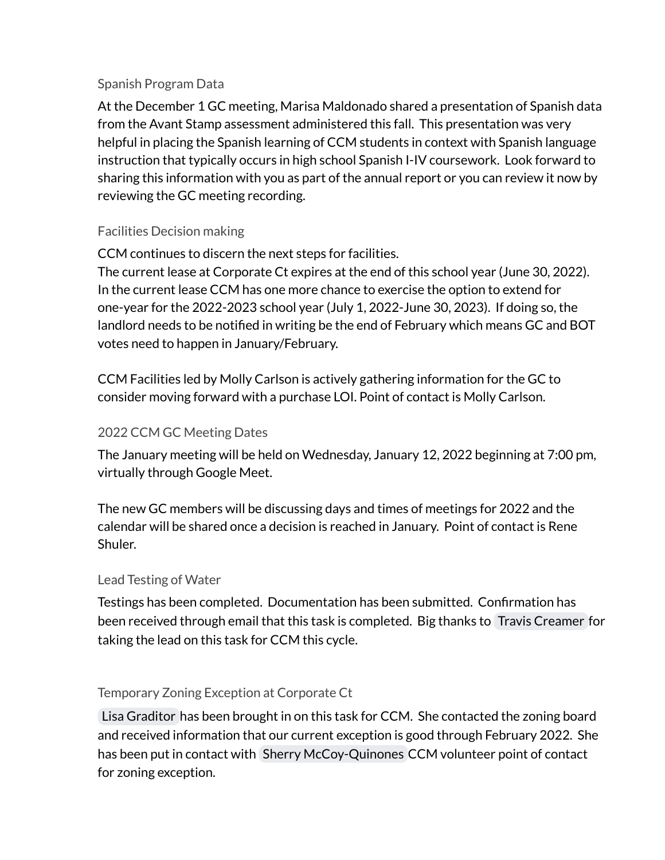# Spanish Program Data

At the December 1 GC meeting, Marisa Maldonado shared a presentation of Spanish data from the Avant Stamp assessment administered this fall. This presentation was very helpful in placing the Spanish learning of CCM students in context with Spanish language instruction that typically occurs in high school Spanish I-IV coursework. Look forward to sharing this information with you as part of the annual report or you can review it now by reviewing the GC meeting recording.

# Facilities Decision making

CCM continues to discern the next steps for facilities.

The current lease at Corporate Ct expires at the end of this school year (June 30, 2022). In the current lease CCM has one more chance to exercise the option to extend for one-year for the 2022-2023 school year (July 1, 2022-June 30, 2023). If doing so, the landlord needs to be notified in writing be the end of February which means GC and BOT votes need to happen in January/February.

CCM Facilities led by Molly Carlson is actively gathering information for the GC to consider moving forward with a purchase LOI. Point of contact is Molly Carlson.

# 2022 CCM GC Meeting Dates

The January meeting will be held on Wednesday, January 12, 2022 beginning at 7:00 pm, virtually through Google Meet.

The new GC members will be discussing days and times of meetings for 2022 and the calendar will be shared once a decision is reached in January. Point of contact is Rene Shuler.

# Lead Testing of Water

Testings has been completed. Documentation has been submitted. Confirmation has been received through email that this task is completed. Big thanks to Travis [Creamer](mailto:travis.creamer@carrollcreekmontessori.org) for taking the lead on this task for CCM this cycle.

# Temporary Zoning Exception at Corporate Ct

Lisa [Graditor](mailto:lgraditor@mdglawfirm.com) has been brought in on this task for CCM. She contacted the zoning board and received information that our current exception is good through February 2022. She has been put in contact with Sherry [McCoy-Quinones](mailto:squinones@carrollcreekmontessori.org) CCM volunteer point of contact for zoning exception.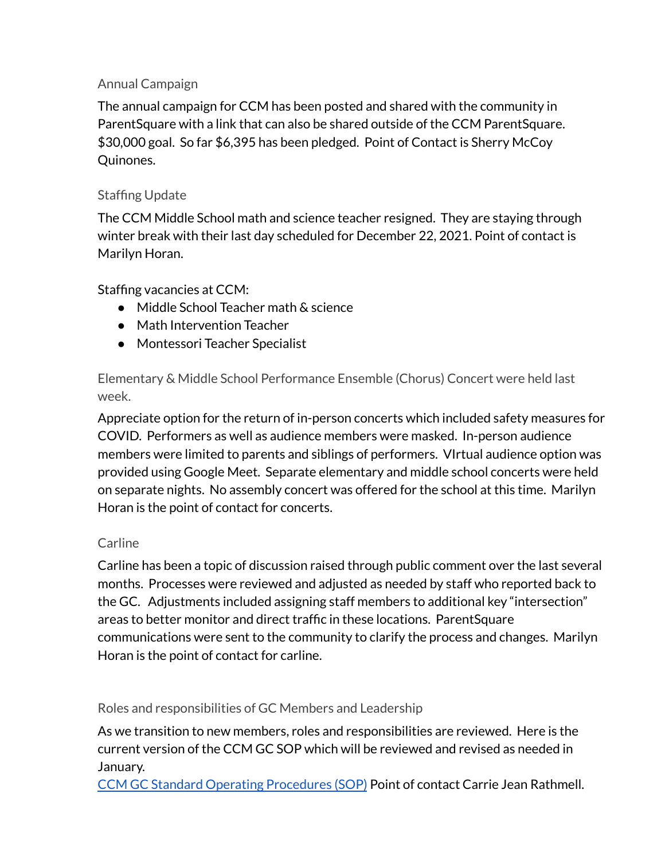# Annual Campaign

The annual campaign for CCM has been posted and shared with the community in ParentSquare with a link that can also be shared outside of the CCM ParentSquare. \$30,000 goal. So far \$6,395 has been pledged. Point of Contact is Sherry McCoy Quinones.

# Staffing Update

The CCM Middle School math and science teacher resigned. They are staying through winter break with their last day scheduled for December 22, 2021. Point of contact is Marilyn Horan.

Staffing vacancies at CCM:

- Middle School Teacher math & science
- Math Intervention Teacher
- Montessori Teacher Specialist

Elementary & Middle School Performance Ensemble (Chorus) Concert were held last week.

Appreciate option for the return of in-person concerts which included safety measures for COVID. Performers as well as audience members were masked. In-person audience members were limited to parents and siblings of performers. VIrtual audience option was provided using Google Meet. Separate elementary and middle school concerts were held on separate nights. No assembly concert was offered for the school at this time. Marilyn Horan is the point of contact for concerts.

## **Carline**

Carline has been a topic of discussion raised through public comment over the last several months. Processes were reviewed and adjusted as needed by staff who reported back to the GC. Adjustments included assigning staff members to additional key "intersection" areas to better monitor and direct traffic in these locations. ParentSquare communications were sent to the community to clarify the process and changes. Marilyn Horan is the point of contact for carline.

Roles and responsibilities of GC Members and Leadership

As we transition to new members, roles and responsibilities are reviewed. Here is the current version of the CCM GC SOP which will be reviewed and revised as needed in January.

CCM GC Standard Operating [Procedures](https://docs.google.com/document/d/1IqDncL_OoAlV17Yxpa8xjA70a_EQjUhHKoe8qkFSv1U/edit?usp=sharing) (SOP) Point of contact Carrie Jean Rathmell.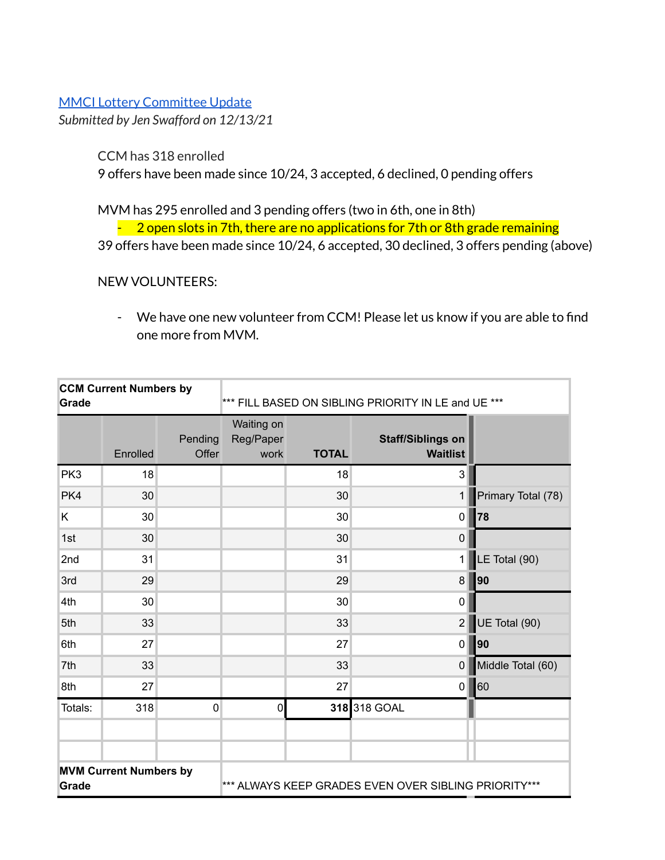## MMCI Lottery [Committee](https://docs.google.com/document/d/164hPBlGAqqKWcfth7jkZKYtcITmFXjKRa7lrYa00Jgs/edit?usp=sharing) Update

*Submitted by Jen Swafford on 12/13/21*

CCM has 318 enrolled

9 offers have been made since 10/24, 3 accepted, 6 declined, 0 pending offers

MVM has 295 enrolled and 3 pending offers (two in 6th, one in 8th)

 $-2$  open slots in 7th, there are no applications for 7th or 8th grade remaining

39 offers have been made since 10/24, 6 accepted, 30 declined, 3 offers pending (above)

## NEW VOLUNTEERS:

- We have one new volunteer from CCM! Please let us know if you are able to find one more from MVM.

| <b>CCM Current Numbers by</b><br>Grade |          | *** FILL BASED ON SIBLING PRIORITY IN LE and UE ***  |                                 |              |                                             |                    |
|----------------------------------------|----------|------------------------------------------------------|---------------------------------|--------------|---------------------------------------------|--------------------|
|                                        | Enrolled | Pending<br>Offer                                     | Waiting on<br>Reg/Paper<br>work | <b>TOTAL</b> | <b>Staff/Siblings on</b><br><b>Waitlist</b> |                    |
| PK3                                    | 18       |                                                      |                                 | 18           | 3                                           |                    |
| PK4                                    | 30       |                                                      |                                 | 30           | $\mathbf{1}$                                | Primary Total (78) |
| Κ                                      | 30       |                                                      |                                 | 30           | $\mathbf 0$                                 | 78                 |
| 1st                                    | 30       |                                                      |                                 | 30           | $\mathbf 0$                                 |                    |
| 2nd                                    | 31       |                                                      |                                 | 31           | 1                                           | LE Total (90)      |
| 3rd                                    | 29       |                                                      |                                 | 29           | 8                                           | 90                 |
| 4th                                    | 30       |                                                      |                                 | 30           | 0                                           |                    |
| 5th                                    | 33       |                                                      |                                 | 33           | $\overline{2}$                              | UE Total (90)      |
| 6th                                    | 27       |                                                      |                                 | 27           | 0                                           | 90                 |
| 7th                                    | 33       |                                                      |                                 | 33           | 0                                           | Middle Total (60)  |
| 8th                                    | 27       |                                                      |                                 | 27           | $\mathbf 0$                                 | 60                 |
| Totals:                                | 318      | $\mathbf 0$                                          | $\pmb{0}$                       |              | 318 318 GOAL                                |                    |
|                                        |          |                                                      |                                 |              |                                             |                    |
|                                        |          |                                                      |                                 |              |                                             |                    |
| <b>MVM Current Numbers by</b><br>Grade |          | *** ALWAYS KEEP GRADES EVEN OVER SIBLING PRIORITY*** |                                 |              |                                             |                    |